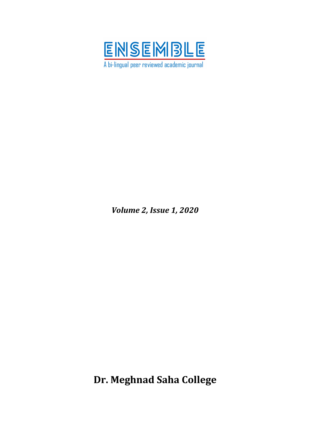

Volume 2, Issue 1, 2020

Dr. Meghnad Saha College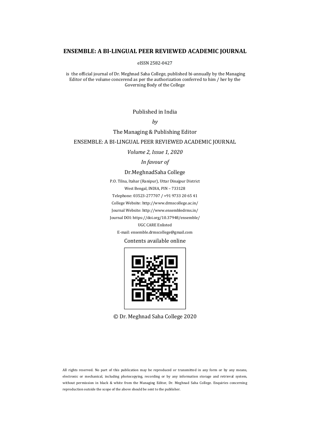# ENSEMBLE: A BI-LINGUAL PEER REVIEWED ACADEMIC JOURNAL

eISSN 2582-0427

is the official journal of Dr. Meghnad Saha College, published bi-annually by the Managing Editor of the volume concerend as per the authorization conferred to him / her by the Governing Body of the College

Published in India

by

The Managing & Publishing Editor

#### ENSEMBLE: A BI-LINGUAL PEER REVIEWED ACADEMIC JOURNAL

Volume 2, Issue 1, 2020

#### In favour of

#### Dr.MeghnadSaha College

P.O. Tilna, Itahar (Ranipur), Uttar Dinajpur District West Bengal, INDIA, PIN – 733128 Telephone: 03523-277707 / +91 9733 20 65 41 College Website: http://www.drmscollege.ac.in/ Journal Website: http://www.ensembledrms.in/ Journal DOI: https://doi.org/10.37948/ensemble/ UGC CARE Enlisted E-mail: ensemble.drmscollege@gmail.com

Contents available online



© Dr. Meghnad Saha College 2020

All rights reserved. No part of this publication may be reproduced or transmitted in any form or by any means, electronic or mechanical, including photocopying, recording or by any information storage and retrieval system, without permission in black & white from the Managing Editor, Dr. Meghnad Saha College. Enquiries concerning reproduction outside the scope of the above should be sent to the publisher.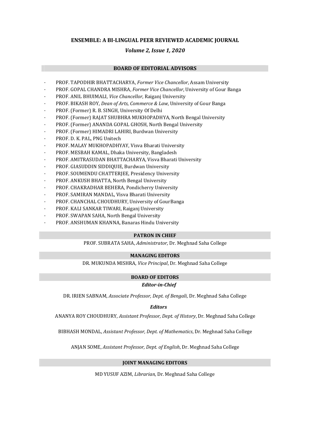## ENSEMBLE: A BI-LINGUAL PEER REVIEWED ACADEMIC JOURNAL

### Volume 2, Issue 1, 2020

#### BOARD OF EDITORIAL ADVISORS

- PROF. TAPODHIR BHATTACHARYA, Former Vice Chancellor, Assam University
- PROF. GOPAL CHANDRA MISHRA, Former Vice Chancellor, University of Gour Banga
- PROF. ANIL BHUIMALI, Vice Chancellor, Raiganj University
- PROF. BIKASH ROY, Dean of Arts, Commerce & Law, University of Gour Banga
- PROF. (Former) R. B. SINGH, University Of Delhi
- PROF. (Former) RAJAT SHUBHRA MUKHOPADHYA, North Bengal University
- PROF. (Former) ANANDA GOPAL GHOSH, North Bengal University
- PROF. (Former) HIMADRI LAHIRI, Burdwan University
- PROF. D. K. PAL, PNG Unitech
- PROF. MALAY MUKHOPADHYAY, Visva Bharati University
- PROF. MESBAH KAMAL, Dhaka University, Bangladesh
- · PROF. AMITRASUDAN BHATTACHARYA, Visva Bharati University
- PROF. GIASUDDIN SIDDIQUIE, Burdwan University
- PROF. SOUMENDU CHATTERJEE, Presidency University
- PROF. ANKUSH BHATTA, North Bengal University
- · PROF. CHAKRADHAR BEHERA, Pondicherry University
- PROF. SAMIRAN MANDAL, Visva Bharati University
- PROF. CHANCHAL CHOUDHURY, University of GourBanga
- · PROF. KALI SANKAR TIWARI, Raiganj University
- PROF. SWAPAN SAHA, North Bengal University
- PROF. ANSHUMAN KHANNA, Banaras Hindu University

#### PATRON IN CHIEF

PROF. SUBRATA SAHA, Administrator, Dr. Meghnad Saha College

#### MANAGING EDITORS

DR. MUKUNDA MISHRA, Vice Principal, Dr. Meghnad Saha College

#### BOARD OF EDITORS

#### Editor-in-Chief

DR. IRIEN SABNAM, Associate Professor, Dept. of Bengali, Dr. Meghnad Saha College

#### Editors

ANANYA ROY CHOUDHURY, Assistant Professor, Dept. of History, Dr. Meghnad Saha College

BIBHASH MONDAL, Assistant Professor, Dept. of Mathematics, Dr. Meghnad Saha College

ANJAN SOME, Assistant Professor, Dept. of English, Dr. Meghnad Saha College

#### JOINT MANAGING EDITORS

MD YUSUF AZIM, Librarian, Dr. Meghnad Saha College